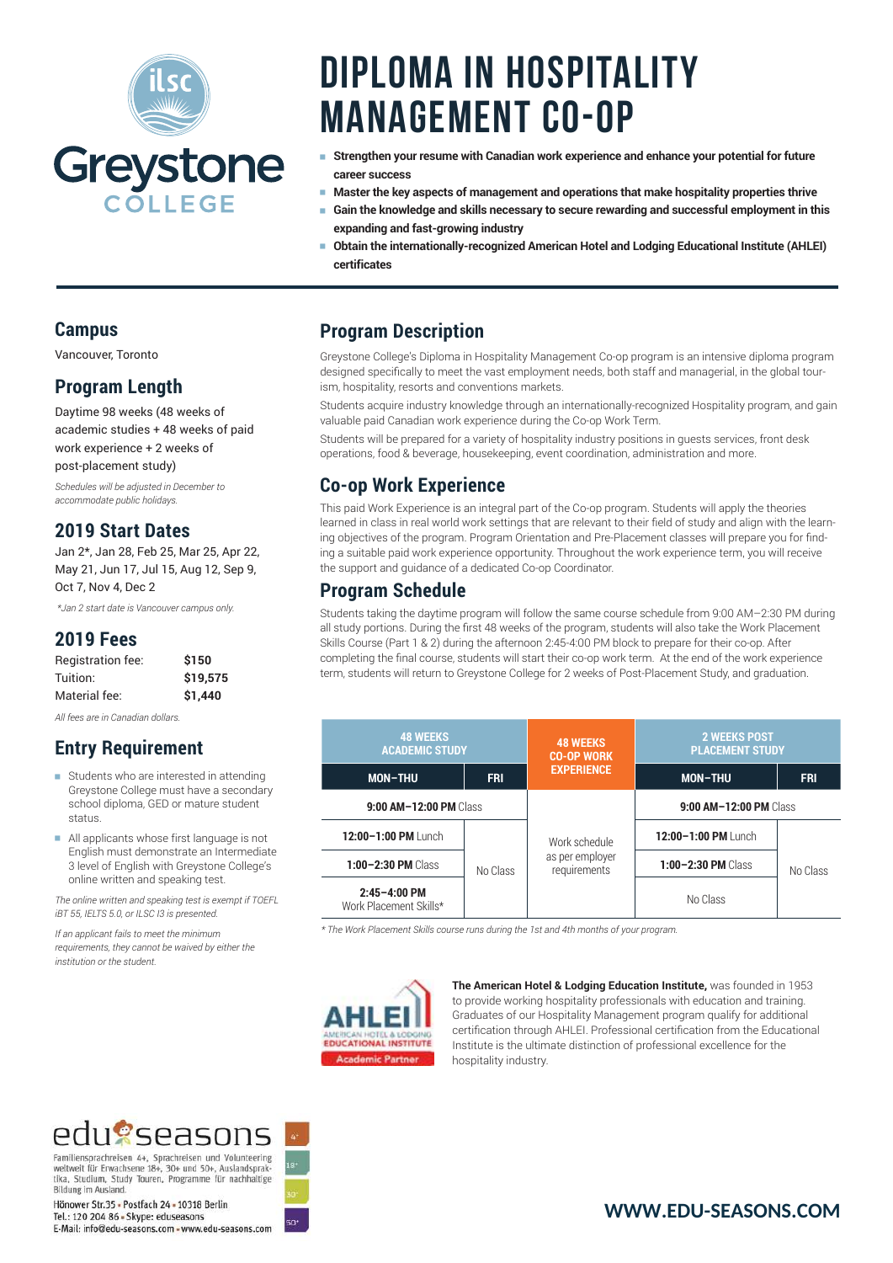

# **Diploma in Hospitality Management Co-op**

- <sup>e</sup> **Strengthen your resume with Canadian work experience and enhance your potential for future career success**
- <sup>e</sup> **Master the key aspects of management and operations that make hospitality properties thrive**
- <sup>e</sup> **Gain the knowledge and skills necessary to secure rewarding and successful employment in this expanding and fast-growing industry**
- <sup>e</sup> **Obtain the internationally-recognized American Hotel and Lodging Educational Institute (AHLEI) certificates**

#### **Program Description**

Greystone College's Diploma in Hospitality Management Co-op program is an intensive diploma program designed specifically to meet the vast employment needs, both staff and managerial, in the global tourism, hospitality, resorts and conventions markets.

Students acquire industry knowledge through an internationally-recognized Hospitality program, and gain valuable paid Canadian work experience during the Co-op Work Term.

Students will be prepared for a variety of hospitality industry positions in guests services, front desk operations, food & beverage, housekeeping, event coordination, administration and more.

#### **Co-op Work Experience**

This paid Work Experience is an integral part of the Co-op program. Students will apply the theories learned in class in real world work settings that are relevant to their field of study and align with the learning objectives of the program. Program Orientation and Pre-Placement classes will prepare you for finding a suitable paid work experience opportunity. Throughout the work experience term, you will receive the support and guidance of a dedicated Co-op Coordinator.

#### **Program Schedule**

Students taking the daytime program will follow the same course schedule from 9:00 AM–2:30 PM during all study portions. During the first 48 weeks of the program, students will also take the Work Placement Skills Course (Part 1 & 2) during the afternoon 2:45-4:00 PM block to prepare for their co-op. After completing the final course, students will start their co-op work term. At the end of the work experience term, students will return to Greystone College for 2 weeks of Post-Placement Study, and graduation.

| <b>48 WEEKS</b><br><b>ACADEMIC STUDY</b>   |            | <b>48 WEEKS</b><br><b>CO-OP WORK</b>             | <b>2 WEEKS POST</b><br><b>PLACEMENT STUDY</b> |            |
|--------------------------------------------|------------|--------------------------------------------------|-----------------------------------------------|------------|
| <b>MON-THU</b>                             | <b>FRI</b> | <b>EXPERIENCE</b>                                | <b>MON-THU</b>                                | <b>FRI</b> |
| 9:00 AM-12:00 PM Class                     |            |                                                  | $9:00$ AM-12:00 PM Class                      |            |
| 12:00-1:00 PM Lunch                        | No Class   | Work schedule<br>as per employer<br>requirements | 12:00-1:00 PM Lunch                           |            |
| $1:00 - 2:30$ PM Class                     |            |                                                  | $1:00 - 2:30$ PM Class                        | No Class   |
| $2:45 - 4:00$ PM<br>Work Placement Skills* |            |                                                  | No Class                                      |            |

*\* The Work Placement Skills course runs during the 1st and 4th months of your program.*



**The American Hotel & Lodging Education Institute,** was founded in 1953 to provide working hospitality professionals with education and training. Graduates of our Hospitality Management program qualify for additional certification through AHLEI. Professional certification from the Educational Institute is the ultimate distinction of professional excellence for the hospitality industry.

#### **Campus**

Vancouver, Toronto

### **Program Length**

Daytime 98 weeks (48 weeks of academic studies + 48 weeks of paid work experience + 2 weeks of post-placement study)

*Schedules will be adjusted in December to accommodate public holidays.*

#### **2019 Start Dates**

Jan 2\*, Jan 28, Feb 25, Mar 25, Apr 22, May 21, Jun 17, Jul 15, Aug 12, Sep 9, Oct 7, Nov 4, Dec 2

 *\*Jan 2 start date is Vancouver campus only.*

#### **2019 Fees**

| Registration fee: | \$150    |
|-------------------|----------|
| Tuition:          | \$19.575 |
| Material fee:     | \$1,440  |

*All fees are in Canadian dollars.*

# **Entry Requirement**

- $\blacksquare$  Students who are interested in attending Greystone College must have a secondary school diploma, GED or mature student status.
- <sup>e</sup> All applicants whose first language is not English must demonstrate an Intermediate 3 level of English with Greystone College's online written and speaking test.

*The online written and speaking test is exempt if TOEFL iBT 55, IELTS 5.0, or ILSC I3 is presented.* 

*If an applicant fails to meet the minimum requirements, they cannot be waived by either the institution or the student.*

# edusseasons

Familiensprachreisen 4+, Sprachreisen und Volunteering<br>weltweit für Erwachsene 18+, 30+ und 50+, Auslandsprak-<br>tika, Studium, Study Touren, Programme für nachhaltige Bildung im Ausland.

Hönower Str.35 - Postfach 24 - 10318 Berlin Tel.: 120 204 86 - Skype: eduseasons E-Mail: info@edu-seasons.com - www.edu-seasons.com

# **[WWW.EDU-SEASONS.COM](https://edu-seasons.com)**